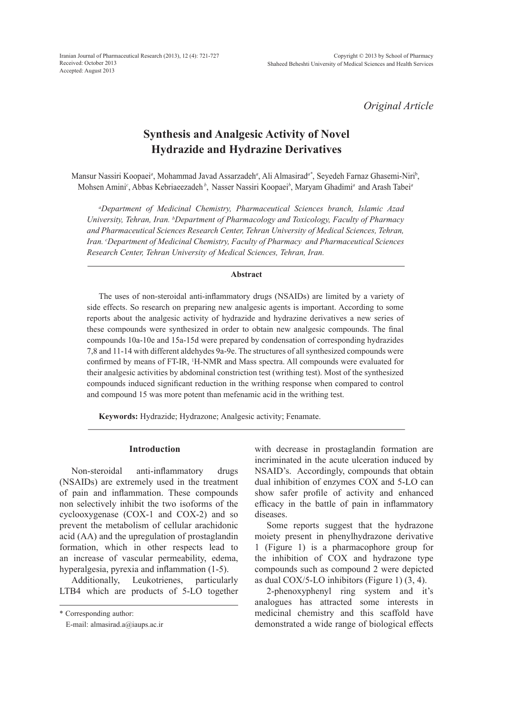Iranian Journal of Pharmaceutical Research (2013), 12 (4): 721-727 Received: October 2013 Accepted: August 2013

*Original Article*

# **Synthesis and Analgesic Activity of Novel Hydrazide and Hydrazine Derivatives**

Mansur Nassiri Koopaei<sup>a</sup>, Mohammad Javad Assarzadeh<sup>a</sup>, Ali Almasirad<sup>a\*</sup>, Seyedeh Farnaz Ghasemi-Niri<sup>b</sup>, Mohsen Amini*<sup>c</sup>* , Abbas Kebriaeezadeh *<sup>b</sup>* , Nasser Nassiri Koopaei*<sup>b</sup>* , Maryam Ghadimi*<sup>a</sup>* and Arash Tabei*<sup>a</sup>*

*a Department of Medicinal Chemistry, Pharmaceutical Sciences branch, Islamic Azad University, Tehran, Iran. b Department of Pharmacology and Toxicology, Faculty of Pharmacy and Pharmaceutical Sciences Research Center, Tehran University of Medical Sciences, Tehran, Iran. c Department of Medicinal Chemistry, Faculty of Pharmacy and Pharmaceutical Sciences Research Center, Tehran University of Medical Sciences, Tehran, Iran.*

### **Abstract**

The uses of non-steroidal anti-inflammatory drugs (NSAIDs) are limited by a variety of side effects. So research on preparing new analgesic agents is important. According to some reports about the analgesic activity of hydrazide and hydrazine derivatives a new series of these compounds were synthesized in order to obtain new analgesic compounds. The final compounds 10a-10e and 15a-15d were prepared by condensation of corresponding hydrazides 7,8 and 11-14 with different aldehydes 9a-9e. The structures of all synthesized compounds were confirmed by means of FT-IR, <sup>1</sup> H-NMR and Mass spectra. All compounds were evaluated for their analgesic activities by abdominal constriction test (writhing test). Most of the synthesized compounds induced significant reduction in the writhing response when compared to control and compound 15 was more potent than mefenamic acid in the writhing test.

**Keywords:** Hydrazide; Hydrazone; Analgesic activity; Fenamate.

### **Introduction**

Non-steroidal anti-inflammatory drugs (NSAIDs) are extremely used in the treatment of pain and inflammation. These compounds non selectively inhibit the two isoforms of the cyclooxygenase (COX-1 and COX-2) and so prevent the metabolism of cellular arachidonic acid (AA) and the upregulation of prostaglandin formation, which in other respects lead to an increase of vascular permeability, edema, hyperalgesia, pyrexia and inflammation (1-5).

Additionally, Leukotrienes, particularly LTB4 which are products of 5-LO together

\* Corresponding author:

with decrease in prostaglandin formation are incriminated in the acute ulceration induced by NSAID's. Accordingly, compounds that obtain dual inhibition of enzymes COX and 5-LO can show safer profile of activity and enhanced efficacy in the battle of pain in inflammatory diseases.

Some reports suggest that the hydrazone moiety present in phenylhydrazone derivative 1 (Figure 1) is a pharmacophore group for the inhibition of COX and hydrazone type compounds such as compound 2 were depicted as dual COX/5-LO inhibitors (Figure 1) (3, 4).

2-phenoxyphenyl ring system and it's analogues has attracted some interests in medicinal chemistry and this scaffold have demonstrated a wide range of biological effects

E-mail: almasirad.a@iaups.ac.ir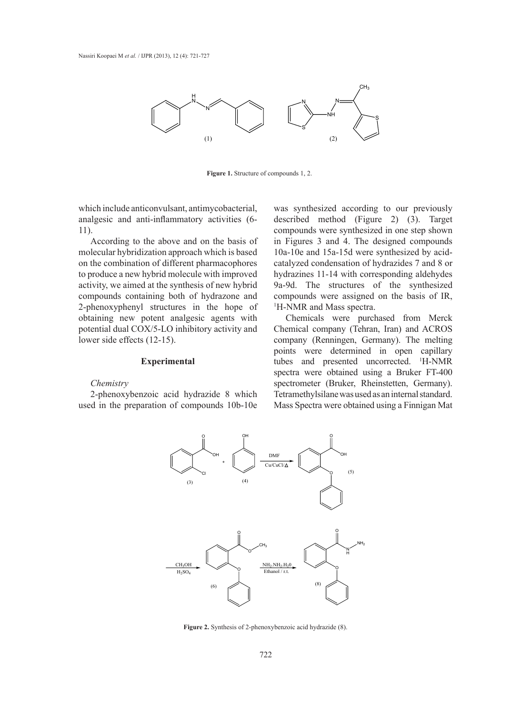

**Figure 1.** Structure of compounds 1, 2.

which include anticonvulsant, antimycobacterial, analgesic and anti-inflammatory activities (6- 11).

According to the above and on the basis of molecular hybridization approach which is based on the combination of different pharmacophores to produce a new hybrid molecule with improved activity, we aimed at the synthesis of new hybrid compounds containing both of hydrazone and 2-phenoxyphenyl structures in the hope of obtaining new potent analgesic agents with potential dual COX/5-LO inhibitory activity and lower side effects (12-15).

### **Experimental**

#### *Chemistry*

2-phenoxybenzoic acid hydrazide 8 which used in the preparation of compounds 10b-10e

was synthesized according to our previously described method (Figure 2) (3). Target compounds were synthesized in one step shown in Figures 3 and 4. The designed compounds 10a-10e and 15a-15d were synthesized by acidcatalyzed condensation of hydrazides 7 and 8 or hydrazines 11-14 with corresponding aldehydes 9a-9d. The structures of the synthesized compounds were assigned on the basis of IR, <sup>1</sup>H-NMR and Mass spectra.

Chemicals were purchased from Merck Chemical company (Tehran, Iran) and ACROS company (Renningen, Germany). The melting points were determined in open capillary tubes and presented uncorrected. <sup>1</sup>H-NMR spectra were obtained using a Bruker FT-400 spectrometer (Bruker, Rheinstetten, Germany). Tetramethylsilane was used as an internal standard. Mass Spectra were obtained using a Finnigan Mat



**Figure 2.** Synthesis of 2-phenoxybenzoic acid hydrazide (8).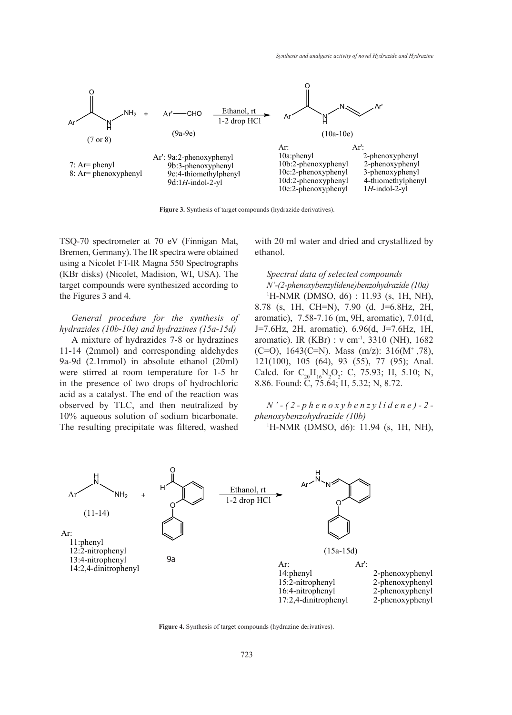

**Figure 3.** Synthesis of target compounds (hydrazide derivatives).

TSQ-70 spectrometer at 70 eV (Finnigan Mat, Bremen, Germany). The IR spectra were obtained using a Nicolet FT-IR Magna 550 Spectrographs (KBr disks) (Nicolet, Madision, WI, USA). The target compounds were synthesized according to the Figures 3 and 4.

*General procedure for the synthesis of hydrazides (10b-10e) and hydrazines (15a-15d)*

A mixture of hydrazides 7-8 or hydrazines 11-14 (2mmol) and corresponding aldehydes 9a-9d (2.1mmol) in absolute ethanol (20ml) were stirred at room temperature for 1-5 hr in the presence of two drops of hydrochloric acid as a catalyst. The end of the reaction was observed by TLC, and then neutralized by 10% aqueous solution of sodium bicarbonate. The resulting precipitate was filtered, washed with 20 ml water and dried and crystallized by ethanol.

# *Spectral data of selected compounds N'-(2-phenoxybenzylidene)benzohydrazide (10a)*

1 H-NMR (DMSO, d6) : 11.93 (s, 1H, NH), 8.78 (s, 1H, CH=N), 7.90 (d, J=6.8Hz, 2H, aromatic), 7.58-7.16 (m, 9H, aromatic), 7.01(d, J=7.6Hz, 2H, aromatic), 6.96(d, J=7.6Hz, 1H, aromatic). IR (KBr) : ν cm-1, 3310 (NH), 1682 (C=O), 1643(C=N). Mass  $(m/z)$ : 316(M<sup>+</sup>,78), 121(100), 105 (64), 93 (55), 77 (95); Anal. Calcd. for  $C_{20}H_{16}N_2O_2$ : C, 75.93; H, 5.10; N, 8.86. Found: C, 75.64; H, 5.32; N, 8.72.

*N'-(2-phenoxybenzylidene)-2 phenoxybenzohydrazide (10b)*

1 H-NMR (DMSO, d6): 11.94 (s, 1H, NH),



**Figure 4.** Synthesis of target compounds (hydrazine derivatives).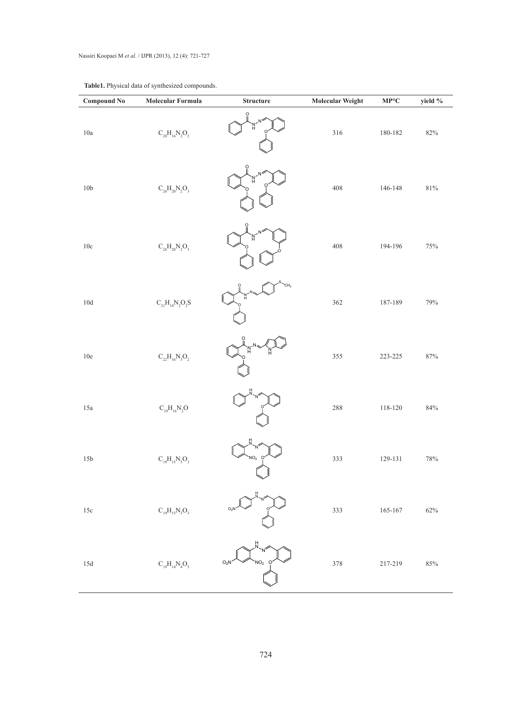| <b>Compound No</b> | <b>Molecular Formula</b>                                                                          | $\begin{array}{ll} \textbf{Structure} \end{array}$ | <b>Molecular Weight</b> | $MP^{\circ}C$ | yield % |
|--------------------|---------------------------------------------------------------------------------------------------|----------------------------------------------------|-------------------------|---------------|---------|
| $10\mathrm{a}$     | $\mathrm{C}_{20}\mathrm{H}_{16}\mathrm{N}_{2}\mathrm{O}_{2}$                                      | O                                                  | 316                     | $180 - 182$   | $82\%$  |
| $10\mathrm{b}$     | $\mathrm{C}_{\mathrm{26}}\mathrm{H}_{\mathrm{20}}\mathrm{N}_{\mathrm{2}}\mathrm{O}_{\mathrm{3}}$  | ö<br>N<br>'N<br>H                                  | 408                     | 146-148       | $81\%$  |
| $10\mathrm{c}$     | $\mathrm{C}_{\mathrm{26}}\mathrm{H}_{\mathrm{20}}\mathrm{N}_{\mathrm{2}}\mathrm{O}_{\mathrm{3}}$  | 'N<br>H                                            | 408                     | 194-196       | 75%     |
| $10\mathrm{d}$     | $C_{21}H_{18}N_2O_2S$                                                                             | CH <sub>3</sub>                                    | 362                     | 187-189       | 79%     |
| $10\mathrm{e}$     | $C_{22}H_{16}N_3O_2$                                                                              | N                                                  | 355                     | 223-225       | 87%     |
| $15\mathrm{a}$     | $C_{19}H_{16}N_2O$                                                                                |                                                    | 288                     | 118-120       | $84\%$  |
| 15 <sub>b</sub>    | $C_{19}H_{15}N_3O_3$                                                                              | NO <sub>2</sub>                                    | 333                     | 129-131       | 78%     |
| $15c\,$            | ${\rm C}^{\vphantom{*}}_{_{19}{\rm H}^{\vphantom{*}}_{_{15}{\rm N}}{\rm O}^{\vphantom{*}}_{_{3}}$ |                                                    | 333                     | 165-167       | 62%     |
| $15d\,$            | $\rm C_{19}H_{14}N_4O_5$                                                                          | 넜<br>$NO2$ 0<br>$O_2N$                             | 378                     | 217-219       | $85\%$  |

# **Table1.** Physical data of synthesized compounds.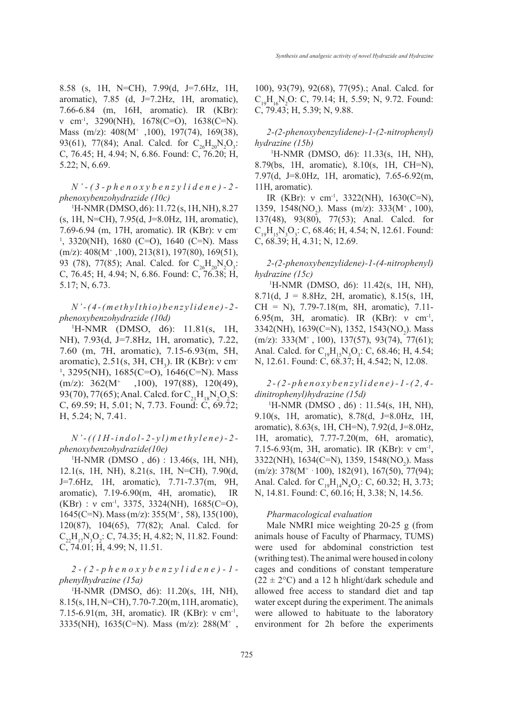8.58 (s, 1H, N=CH), 7.99(d, J=7.6Hz, 1H, aromatic),  $7.85$  (d, J=7.2Hz, 1H, aromatic), 7.66-6.84 (m, 16H, aromatic). IR (KBr):  $v \text{ cm}^{-1}$ , 3290(NH), 1678(C=O), 1638(C=N). Mass (m/z):  $\frac{408(M^+)}{100}$ , 197(74), 169(38), 93(61), 77(84); Anal. Calcd. for  $C_{26}H_{20}N_2O_3$ : C, 76.45; H, 4.94; N, 6.86. Found: C, 76.20; H, 5.22; N, 6.69.

# *N'-(3-phenoxybenzylidene)-2 phenoxybenzohydrazide (10c)*

1 H-NMR (DMSO, d6): 11.72 (s, 1H, NH), 8.27 (s, 1H, N=CH), 7.95(d, J=8.0Hz, 1H, aromatic), 7.69-6.94 (m, 17H, aromatic). IR (KBr): ν cm-<sup>1</sup>, 3320(NH), 1680 (C=O), 1640 (C=N). Mass  $(m/z)$ : 408(M<sup>+</sup>,100), 213(81), 197(80), 169(51), 93 (78), 77(85); Anal. Calcd. for  $C_{26}H_{20}N_2O_3$ : C, 76.45; H, 4.94; N, 6.86. Found: C, 76.38; H, 5.17; N, 6.73.

# *N'-(4-(methylthio)benzylidene)-2 phenoxybenzohydrazide (10d)*

<sup>1</sup>H-NMR (DMSO, d6): 11.81(s, 1H, NH), 7.93(d, J=7.8Hz, 1H, aromatic), 7.22, 7.60 (m, 7H, aromatic), 7.15-6.93(m, 5H, aromatic), 2.51(s, 3H, CH<sub>3</sub>). IR (KBr): ν cm <sup>1</sup>, 3295(NH), 1685(C=O), 1646(C=N). Mass (m/z): 362(M<sup>+</sup>,100), 197(88), 120(49), 93(70), 77(65); Anal. Calcd. for  $C_{21}H_{18}N_2O_2S$ : C, 69.59; H, 5.01; N, 7.73. Found: C, 69.72; H, 5.24; N, 7.41.

# *N'-((1H-indol-2-yl)methylene)-2 phenoxybenzohydrazide(10e)*

1 H-NMR (DMSO , d6) : 13.46(s, 1H, NH), 12.1(s, 1H, NH), 8.21(s, 1H, N=CH), 7.90(d, J=7.6Hz, 1H, aromatic), 7.71-7.37(m, 9H, aromatic), 7.19-6.90(m, 4H, aromatic), IR  $(KBr)$ : v cm<sup>-1</sup>, 3375, 3324(NH), 1685(C=O), 1645(C=N). Mass (m/z): 355(M+ , 58), 135(100), 120(87), 104(65), 77(82); Anal. Calcd. for  $C_{22}H_{17}N_3O_2$ : C, 74.35; H, 4.82; N, 11.82. Found: C, 74.01; H, 4.99; N, 11.51.

*2-(2-phenoxybenzylidene)-1 phenylhydrazine (15a)*

1 H-NMR (DMSO, d6): 11.20(s, 1H, NH), 8.15(s, 1H, N=CH), 7.70-7.20(m, 11H, aromatic), 7.15-6.91(m, 3H, aromatic). IR (KBr): ν cm-1, 3335(NH), 1635(C=N). Mass (m/z): 288(M+ ,

100), 93(79), 92(68), 77(95).; Anal. Calcd. for  $C_{19}H_{16}N_2O$ : C, 79.14; H, 5.59; N, 9.72. Found: C, 79.43; H, 5.39; N, 9.88.

# *2-(2-phenoxybenzylidene)-1-(2-nitrophenyl) hydrazine (15b)*

1 H-NMR (DMSO, d6): 11.33(s, 1H, NH), 8.79(bs, 1H, aromatic), 8.10(s, 1H, CH=N), 7.97(d, J=8.0Hz, 1H, aromatic), 7.65-6.92(m, 11H, aromatic).

IR (KBr):  $v \text{ cm}^{-1}$ , 3322(NH), 1630(C=N), 1359, 1548(NO<sub>2</sub>). Mass (m/z): 333(M<sup>+</sup>, 100), 137(48), 93(80), 77(53); Anal. Calcd. for  $C_{19}H_{15}N_3O_3$ : C, 68.46; H, 4.54; N, 12.61. Found: C, 68.39; H, 4.31; N, 12.69.

# *2-(2-phenoxybenzylidene)-1-(4-nitrophenyl) hydrazine (15c)*

<sup>1</sup>H-NMR (DMSO, d6): 11.42(s, 1H, NH), 8.71(d,  $J = 8.8$ Hz, 2H, aromatic), 8.15(s, 1H, CH = N), 7.79-7.18(m, 8H, aromatic), 7.11- 6.95(m, 3H, aromatic). IR (KBr): ν cm-1,  $3342(NH)$ , 1639(C=N), 1352, 1543(NO<sub>2</sub>). Mass  $(m/z)$ : 333(M<sup>+</sup>, 100), 137(57), 93(74), 77(61); Anal. Calcd. for  $C_{19}H_{15}N_3O_3$ : C, 68.46; H, 4.54; N, 12.61. Found: C, 68.37; H, 4.542; N, 12.08.

# *2-(2-phenoxybenzylidene)-1-(2,4 dinitrophenyl)hydrazine (15d)*

<sup>1</sup>H-NMR (DMSO , d6) : 11.54(s, 1H, NH), 9.10(s, 1H, aromatic), 8.78(d, J=8.0Hz, 1H, aromatic), 8.63(s, 1H, CH=N), 7.92(d, J=8.0Hz, 1H, aromatic), 7.77-7.20(m, 6H, aromatic), 7.15-6.93(m, 3H, aromatic). IR (KBr): ν cm-1, 3322(NH), 1634(C=N), 1359, 1548(NO<sub>2</sub>). Mass  $(m/z)$ : 378(M<sup>+</sup> · 100), 182(91), 167(50), 77(94); Anal. Calcd. for  $C_{19}H_{14}N_4O_5$ : C, 60.32; H, 3.73; N, 14.81. Found: C, 60.16; H, 3.38; N, 14.56.

### *Pharmacological evaluation*

Male NMRI mice weighting 20-25 g (from animals house of Faculty of Pharmacy, TUMS) were used for abdominal constriction test (writhing test). The animal were housed in colony cages and conditions of constant temperature  $(22 \pm 2^{\circ}C)$  and a 12 h hlight/dark schedule and allowed free access to standard diet and tap water except during the experiment. The animals were allowed to habituate to the laboratory environment for 2h before the experiments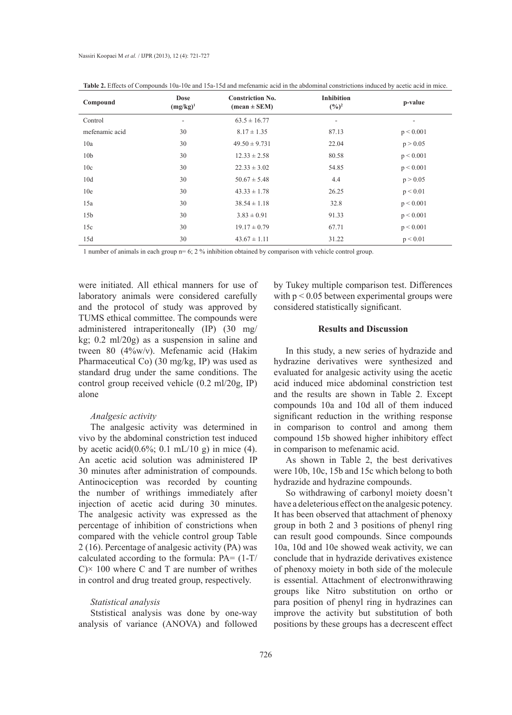| Compound        | <b>Dose</b><br>$(mg/kg)^1$ | <b>Constriction No.</b><br>$mean \pm SEM$ | <b>Inhibition</b><br>$(\frac{9}{6})^2$ | p-value   |
|-----------------|----------------------------|-------------------------------------------|----------------------------------------|-----------|
| Control         | $\overline{\phantom{a}}$   | $63.5 \pm 16.77$                          |                                        |           |
| mefenamic acid  | 30                         | $8.17 \pm 1.35$                           | 87.13                                  | p < 0.001 |
| 10a             | 30                         | $49.50 \pm 9.731$                         | 22.04                                  | p > 0.05  |
| 10 <sub>b</sub> | 30                         | $12.33 \pm 2.58$                          | 80.58                                  | p < 0.001 |
| 10c             | 30                         | $22.33 \pm 3.02$                          | 54.85                                  | p < 0.001 |
| 10d             | 30                         | $50.67 \pm 5.48$                          | 4.4                                    | p > 0.05  |
| 10e             | 30                         | $43.33 \pm 1.78$                          | 26.25                                  | p < 0.01  |
| 15a             | 30                         | $38.54 \pm 1.18$                          | 32.8                                   | p < 0.001 |
| 15 <sub>b</sub> | 30                         | $3.83 \pm 0.91$                           | 91.33                                  | p < 0.001 |
| 15c             | 30                         | $19.17 \pm 0.79$                          | 67.71                                  | p < 0.001 |
| 15d             | 30                         | $43.67 \pm 1.11$                          | 31.22                                  | p < 0.01  |

**Table 2.** Effects of Compounds 10a-10e and 15a-15d and mefenamic acid in the abdominal constrictions induced by acetic acid in mice.

1 number of animals in each group n= 6; 2 % inhibition obtained by comparison with vehicle control group.

were initiated. All ethical manners for use of laboratory animals were considered carefully and the protocol of study was approved by TUMS ethical committee. The compounds were administered intraperitoneally (IP) (30 mg/ kg; 0.2 ml/20g) as a suspension in saline and tween 80 (4%w/ν). Mefenamic acid (Hakim Pharmaceutical Co) (30 mg/kg, IP) was used as standard drug under the same conditions. The control group received vehicle (0.2 ml/20g, IP) alone

#### *Analgesic activity*

The analgesic activity was determined in vivo by the abdominal constriction test induced by acetic acid $(0.6\%; 0.1 \text{ mL}/10 \text{ g})$  in mice (4). An acetic acid solution was administered IP 30 minutes after administration of compounds. Antinociception was recorded by counting the number of writhings immediately after injection of acetic acid during 30 minutes. The analgesic activity was expressed as the percentage of inhibition of constrictions when compared with the vehicle control group Table 2 (16). Percentage of analgesic activity (PA) was calculated according to the formula: PA= (1-T/  $C$  × 100 where C and T are number of writhes in control and drug treated group, respectively.

#### *Statistical analysis*

Ststistical analysis was done by one-way analysis of variance (ANOVA) and followed by Tukey multiple comparison test. Differences with  $p < 0.05$  between experimental groups were considered statistically significant.

### **Results and Discussion**

In this study, a new series of hydrazide and hydrazine derivatives were synthesized and evaluated for analgesic activity using the acetic acid induced mice abdominal constriction test and the results are shown in Table 2. Except compounds 10a and 10d all of them induced significant reduction in the writhing response in comparison to control and among them compound 15b showed higher inhibitory effect in comparison to mefenamic acid.

As shown in Table 2, the best derivatives were 10b, 10c, 15b and 15c which belong to both hydrazide and hydrazine compounds.

So withdrawing of carbonyl moiety doesn't have a deleterious effect on the analgesic potency. It has been observed that attachment of phenoxy group in both 2 and 3 positions of phenyl ring can result good compounds. Since compounds 10a, 10d and 10e showed weak activity, we can conclude that in hydrazide derivatives existence of phenoxy moiety in both side of the molecule is essential. Attachment of electronwithrawing groups like Nitro substitution on ortho or para position of phenyl ring in hydrazines can improve the activity but substitution of both positions by these groups has a decrescent effect